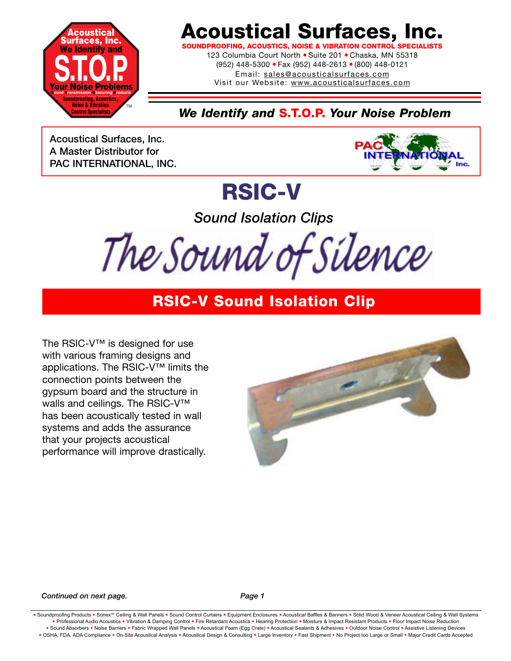

## **Acoustical Surfaces, Inc.**

**SOFING, ACOUSTICS, NOISE & VIBRATION CONTROL SPECIAL** 

123 Columbia Court North · Suite 201 · Chaska, MN 55318 (952) 448-5300 ● Fax (952) 448-2613 ● (800) 448-0121 Email: sales@acousticalsurfaces.com

Visit our Website: www.acousticalsurfaces.com

### *We Identify and* **S.T.O.P.** *Your Noise Problem*

**Acoustical Surfaces, Inc. A Master Distributor for PAC INTERNATIONAL, INC.**



## **RSIC-V**

*Sound Isolation Clips*

The Sound of Silence

### **RSIC-V Sound Isolation Clip**

The RSIC-V™ is designed for use with various framing designs and applications. The RSIC-V™ limits the connection points between the gypsum board and the structure in walls and ceilings. The RSIC-V™ has been acoustically tested in wall systems and adds the assurance that your projects acoustical performance will improve drastically.



#### **Continued on next page.** Page 1

• Soundproofing Products • Sonex™ Ceiling & Wall Panels • Sound Control Curtains • Equipment Enclosures • Acoustical Baffles & Banners • Solid Wood & Veneer Acoustical Ceiling & Wall Systems **•** Professional Audio Acoustics **•** Vibration & Damping Control **•** Fire Retardant Acoustics **•** Hearing Protection **•** Moisture & Impact Resistant Products **•** Floor Impact Noise Reduction . Sound Absorbers . Noise Barriers . Fabric Wrapped Wall Panels . Acoustical Foam (Egg Crate) . Acoustical Sealants & Adhesives . Outdoor Noise Control . Assistive Listening Devices . OSHA, FDA, ADA Compliance . On-Site Acoustical Analysis . Acoustical Design & Consulting . Large Inventory . Fast Shipment . No Project too Large or Small . Major Credit Cards Accepted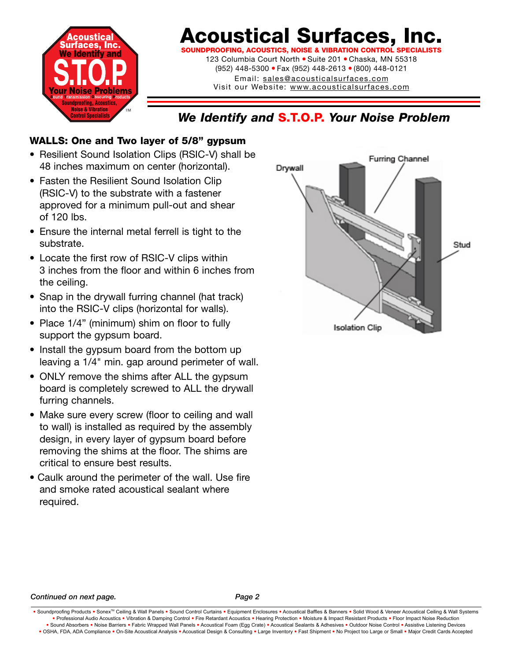

## **Acoustical Surfaces, Inc.**

**SOUNDPROOFING, ACOUSTICS, NOISE & VIBRATION CONTROL S** 123 Columbia Court North ● Suite 201 ● Chaska, MN 55318 (952) 448-5300 ● Fax (952) 448-2613 ● (800) 448-0121

> Email: sales@acousticalsurfaces.com Visit our Website: www.acousticalsurfaces.com

### *We Identify and* **S.T.O.P.** *Your Noise Problem*

### **WALLS: One and Two layer of 5/8" gypsum**

- Resilient Sound Isolation Clips (RSIC-V) shall be 48 inches maximum on center (horizontal).
- Fasten the Resilient Sound Isolation Clip (RSIC-V) to the substrate with a fastener approved for a minimum pull-out and shear of 120 lbs.
- Ensure the internal metal ferrell is tight to the substrate.
- Locate the first row of RSIC-V clips within 3 inches from the floor and within 6 inches from the ceiling.
- Snap in the drywall furring channel (hat track) into the RSIC-V clips (horizontal for walls).
- Place 1/4" (minimum) shim on floor to fully support the gypsum board.
- Install the gypsum board from the bottom up leaving a 1/4" min. gap around perimeter of wall.
- ONLY remove the shims after ALL the gypsum board is completely screwed to ALL the drywall furring channels.
- Make sure every screw (floor to ceiling and wall to wall) is installed as required by the assembly design, in every layer of gypsum board before removing the shims at the floor. The shims are critical to ensure best results.
- Caulk around the perimeter of the wall. Use fire and smoke rated acoustical sealant where required.



#### *Continued on next page. Page 2*

<sup>.</sup> Soundproofing Products . Sonex™ Ceiling & Wall Panels . Sound Control Curtains . Equipment Enclosures . Acoustical Baffles & Banners . Solid Wood & Veneer Acoustical Ceiling & Wall Systems **•** Professional Audio Acoustics **•** Vibration & Damping Control **•** Fire Retardant Acoustics **•** Hearing Protection **•** Moisture & Impact Resistant Products **•** Floor Impact Noise Reduction . Sound Absorbers . Noise Barriers . Fabric Wrapped Wall Panels . Acoustical Foam (Egg Crate) . Acoustical Sealants & Adhesives . Outdoor Noise Control . Assistive Listening Devices . OSHA, FDA, ADA Compliance . On-Site Acoustical Analysis . Acoustical Design & Consulting . Large Inventory . Fast Shipment . No Project too Large or Small . Major Credit Cards Accepted